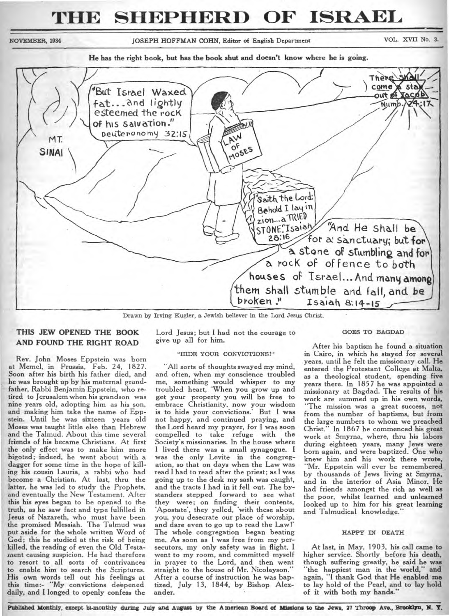# **THE SHEPHERD OF ISRAEL**

NOVEMBER, 1934 JOSEPH HOFFMAN COHN, Editor of English Department VOL. XVII No. 3.

**He has the right book, but has the book shut and doesn't know where he is going.** 



Drawn by Irving Kugler, a Jewish believer in the Lord Jesus Christ.

# **THIS JEW OPENED THE BOOK AND FOUND THE RIGHT ROAD**

Rev. John Moses Eppstein was born at Memel, in Prussia, Feb. 24, 1827. Soon after his birth his father died, and he was brought up by his maternal grandfather, Rabbi Benjamin Eppstein, who retired to Jerusalem when his grandson was nine years old, adopting him as his son, and making him take the name of Eppstein. Until he was sixteen years old Moses was taught little else than Hebrew and the Talmud. About this time several friends of his became Christians. At first the only effect was to make him more bigoted; indeed, he went about with a dagger for some time in the hope of killing his cousin Lauria, a rabbi who had become a Christian. At last, thru the latter, he was led to study the Prophets, and eventually the New Testament. After this his eyes began to be opened to the truth, as he saw fact and type fulfilled in Jesus of Nazareth, who must have been the promised Messiah. The Talmud was put aside for the whole written Word of God; this he studied at the risk of being killed, the reading of even the Old Testament causing suspicion. He had therefore to resort to all sorts of contrivances to enable him to search the Scriptures. His own words tell out his feelings at this time:- "My convictions deepened daily, and I longed to openly confess the

Lord Jesus; but I had not the courage to give up all for him.

# "HIDE YOUR CONVICTIONS!"

"All sorts of thoughts swayed my mind, and often, when my conscience troubled me, something would whisper to my troubled heart, 'When you grow up and get your property you will be free to embrace Christianity, now your wisdom is to hide your convictions.' But I was not happy, and continued praying, and the Lord heard my prayer, for I was soon compelled to take refuge with the Society's missionaries. In the house where I lived there was a small synagogue. I was the only Levite in the congregation, so that on days when the Law was read I had to read after the priest; as I was going up to the desk my sash was caught, and the tracts I had in it fell out. The bystanders stepped forward to see what they were; on finding their contents, 'Apostate', they yelled, 'with these about you, you desecrate our place of worship, and dare even to go up to read the Law!' The whole congregation began beating me. As soon as I was free from my persecutors, my only safety was in flight. I went to my room, and committed myself in prayer to the Lord, and then went straight to the house of Mr. Nicolayson." After a course of instruction he was baptized, July 13, 1844, by Bishop Alexander.

#### GOES TO BAGDAD

After his baptism he found a situation in Cairo, in which he stayed for several years, until he felt the missionary call. He entered the Protestant College at Malta, as a theological student, spending five years there. In 1857 he was appointed a missionary at Bagdad. The results of his work are summed up in his own words, "The mission was a great success, not from the number of baptisms, but from the large numbers to whom we preached Christ." In 1867 he commenced his great work at Smyrna, where, thru his labors during eighteen years, many Jews were born again, and were baptized. One who knew him and his work there wrote, "Mr. Eppstein will ever be remembered by thousands of Jews living at Smyrna, and in the interior of Asia Minor. He had friends amongst the rich as well as the poor, whilst learned and unlearned looked up to him for his great learning and Talmudical knowledge."

#### HAPPY IN DEATH

At last, in May, 1903, his call came to higher service. Shortly before his death, though suffering greatly, he said he was "the happiest man in the world," and again, "I thank God that He enabled me to lay hold of the Pearl, and to lay hold of it with both my hands."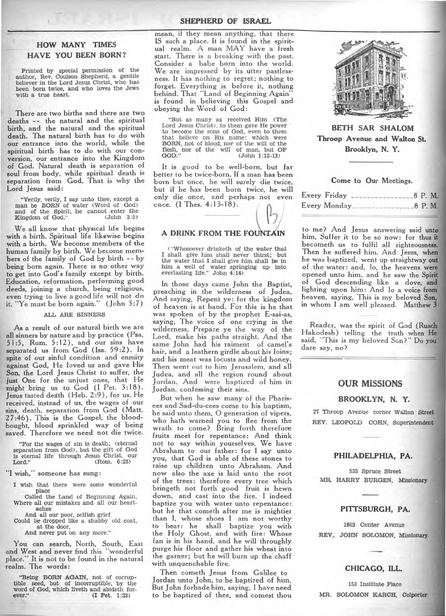# **HOW MANY TIMES HAVE YOU BEEN BORN?**

**Printed by special permission of the author, Rev. Coulson Shepherd, a gentile believer in the Lord Jesus Christ, who has been born twice, and who loves the Jews with a true heart.** 

**There are two births and there are two deaths -- the natural and the spiritual birth, and the natural and the spiritual death. The natural birth has to do with our entrance into the world, while the spiritual birth has to do with our conversion, our entrance into the Kingdom of God. Natural death is separation of soul from body, while spiritual death is separation from God. That is why the Lord Jesus said:** 

**"Verily, verily, I say unto thee, except a man be BORN of water (Word of God) and of the Spirit, he cannot enter the**  Kingdom of God."

**We all know that physical life begins with a birth. Spiritual life likewise begins with a birth. We become members of the human family by birth. We become members of the family of God by birth - - by being born again. There is no other way to get into God's family except by birth. Education, reformation, performing good deeds, joining a church, being religious, even trying to live a good life will not do it. "Ye must be born again." (John 3:7)** 

# **ALL ARE SINNERS**

**As a result of our natural birth we are all sinners by nature and by practice (Psa. 51:5, Rom. 5:12), and our sins have separated us from God (Isa. 59:2). In spite of our sinful condition and enmity against God, He loved us and gave His Son, the Lord Jesus Christ to suffer, the just One for the unjust ones, that He might bring us to God (I Pet. 3:18). Jesus tasted dedth (Heb. 2:9), for us. He received, instead of us, the wages of our sins, death, separation from God (Matt. 27:46). This is the Gospel, the bloodbought, blood sprinkled way of being saved. Therefore we need not die twice.** 

**"For the wages of sin is death; (eternal separation from God), but the gift of God is eternal life through Jesus Christ, our Lord." (Rom. 6:23)** 

**"I wish," someone has sung:** 

- **I wish that there were some wonderful place**
- **Called the Land of Beginning Again, Where all our mistakes and all our heartaches**

**And all our poor, selfish grief Could be dropped like a shabby old coat, at the door,** 

**And never put on any more."** 

**You can search, North, South, East and West and never find this "wonderful place." It is not to be found in the natural realm. The words:** 

**"Being BORN AGAIN, not of corruptible seed, but of incorruptible, by the word of God, which liveth and abideth forever." (I Pet. 1:23)** 

**mean, if they mean anything, that there IS such a place. It is found in the spiritual realm. A man MAY have a fresh start. There is a breaking with the past. Consider a babe born into the world. We are impressed by its utter pastlessness. It has nothing to regret; nothing to forget. Everything is before it, nothing behind. That "Land of Beginning Again" is found in believing this Gospel and obeying the Word of God:** 

**"But as many as received Him (The Lord Jesus Christ), to them gave He power to become the sons of God, even to them that believe on His name: which were BORN, not of blood, nor of the will of the flesh, nor of the will of man, but OF GOD." (John 1:12-13)** 

**It is good to be well-born, but far better to be twice-born. If a man has been born but once, he will surely die twice, but if he has been born twice, he will only die once, and perhaps not even**  cnce. (I Thes. 4:13-18).

# **A DRINK FROM THE FOUNTAIN**

**(-Whosoever drinketh of the water that I shall give him shall never thirst; but the water that I shall give him shall be in him a well of water springing up into everlasting life." John 4:14)** 

**In those days came John the Baptist, preaching in the wilderness of Judea, And saying, Repent ye: for the kingdom of heaven is at hand. For this is he that was spoken of by the prophet E-sai-as, saying, The voice of one crying in the wilderness, Prepare ye the way of the Lord, make his paths straight. And the same John had his raiment of camel's hair, and a leathern girdle about his loins; and his meat was locusts and wild honey. Then went out to him Jerusalem, and all Judea, and all the region round about Jordan, And were baptized of him in Jordan, confessing their sins.** 

**But when he saw many of the Pharisees and Sad-du-cees come to his baptism, he said unto them, 0 generation of vipers, who hath warned you to flee from the wrath to come? Bring forth therefore fruits meet for repentance: And think not to say within yourselves, We have Abraham to our father: for I say unto you, that God is able of these stones to raise up children unto Abraham. And now also the axe is laid unto the root of the trees: therefore every tree which bringeth not forth good fruit is hewn down, and cast into the fire. I indeed baptize you with water unto repentance: but he that cometh after me is mightier than I, whose shoes I am not worthy to bear: he shall baptize you with the Holy Ghost, and with fire: Whose fan is in his hand, and he will throughly purge his floor and gather his wheat into the garner; but he will burn up the chaff with unquenchable fire.** 

**Then cometh Jesus from Galilee to Jordan unto John, to he baptized ,of him. But John forbade him, saying, I have need to be baptized of thee, and comest thou** 



**BETH SAR SHALOM Throop Avenue and Walton St. Brooklyn, N. Y.** 

#### **Come to Our Meetings.**

| Every Friday | $-8$ P.M.<br>and the state of the control of the con- |           |
|--------------|-------------------------------------------------------|-----------|
|              | Every Monday                                          | $-8$ P.M. |

**to me? And Jesus answering said unto him, Suffer it to be so now: for thus it becometh us to fulfil all righteousness. Then he suffered him. And Jesus, when he was baptized, went up straightway out of the water: and, lo, the heavens were opened unto him, and he saw the Spirit of God descending like a dove, and lighting upon him: And lo a voice from heaven, saying, This is my beloved Son, in whom I am well pleased. Matthew 3** 

**Reader, was the spirit of God (Ruach Hakodesh) telling the truth when He said, "This is my beloved Son?" Do you • dare say, no?** 

# **OUR MISSIONS**

#### **BROOKLYN, N. Y.**

**27 Throop Avenue corner Walton Street**  REV. LEOPOLD COHN, Superintendent

#### **PHILADELPHIA, PA.**

**535 Spruce Street MR. HARRY BURGEN, Missionary** 

### **PITTSBURGH, PA.**

**1603 Center Avenue REV,. JOHN SOLOMON, Missionary** 

# **CHICAGO, ILL.**

**153 Institute Place MR. SOLOMON KARCH, Colporter**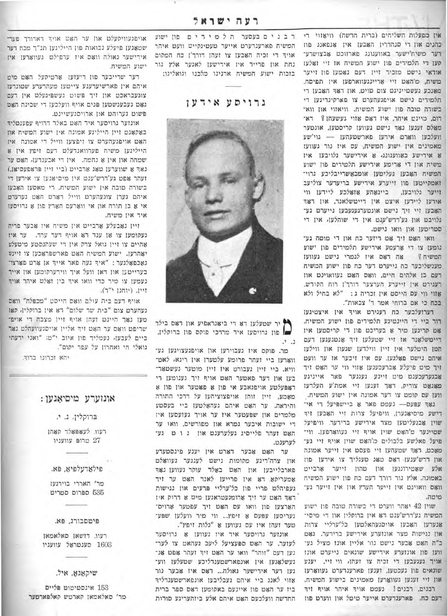אין מפעלות השליחים (ברית הדשה) וויאזוי די כהנים און די סנהדרין האבען אין אנפאנג פון דער משיח'ישער באוועגונג פארזוכט אַבצושרע־ קען די תלמידים פון ישוע המשיח אז זיי זאלעז אודאי נישם מזכיר זיין דעם נאמען פון זייער משיח, מ'האט זיי אריינגעווארפען אין תפיסה. מאנכע געשמייניגם צום מוים, און דאד האבען די תלמידים נישט אויפגעהערט צו פארקיגדיגען די בשורה מובה פון ישוע המשיח. וויאזוי און ווא־ רום, כוינט איהר, איז דאס אזוי געשעהן? דא־ מאַלס זענען נאָך נישט געווען קריסטען, אונטער וועלכען ווארט אירען פארשטעהען — גוי'שע מאמינים אין ישוע המשיח, עם איז נור געוועז 8 אירישע כאוועגונג, 8 אירישער גלויבען איז משיח און די ארימע אידישע תלמידים פון ישוע המשיח האבען געלימען אומבאשרייבליכע גרוי־ זאמקיימען פון זייערע אידישע בריעדער צוליעב ביינאַהע אַזאַלכע ליידען ווי זייער גלויבען, אידען ליידען איצט אין דייטשלאנד, און דאד האָבען זיי זיך נישט אונטערגעגעבען נייערט גע־ גלויבט און גע'ררש'ענט אין די שוהלען. אין די סטריטען און וואו נישט.

וואו האט זיך אט דיזער כח און די מומה גע־ נומען צו די ארעמע אידישע תלמידים פון ישוע אה דאס איז לגמרי נישט נעוועז המשיח ? מענשליכער כה נייערט דער כח פון ישוע המשיח דעם כן אלהים חיים, וואס האט געוואוינט אוז רעגירט אין וייערע הערצער דורך'ן רוח הקידש. אזוי ווי עם הייסט אין זכריה ג: "לא בחיל ולא בכח כי אם ברוחי אמר ד' צבאות".

דערועלבער כח רעגירט אויך אין איצטיגעו דור ביי די היינטיגע תלמידים פון ישוע המשיח. אם קריגען מיר אַ בעריכם פון די קריסטען אין דיימשלאנד אז זיי שמעלען זיך אנמגעגען דעם המן הימלער אין זיין ווילדען שגעון און ווילעו איהם נישט פאלגען. עם איז זיכער אז ער וועט זיך מיט פיעלע אברעכענען אזוי ווי ער האט זיד אָבגערעכענט מיט זיינע געגנער פאר אייניגע מאנאט צוריק, דאך זענען זיי אמת'ע העלדעו ווען עם קומט צו דער אמונה אין ישוע המשיח.

נאך עפעם- נעמט פאר א ביישפיעל די אי־ דישע מיסיאנערן, וויפיעל צרות זיי האבען זיד שוין אָבנעליטען מצד אידישע ברידער. וויפיעל שטיינער מ'האָט שוין אויף זיי געוואָרפּען. ווי־ פיעל פאלשע בלבולים כז'האט שוין אויף זיי גע־ מאכט, דאד שטעהען זיי פעסט אין זייער אמונה און דרש'ענען דאס טאג טעגליך צו אידען פוז אלע שאטירונגען און טהון זייער ארבייט באמונה. אלץ נור דורך דעם כח פון ישוע המשיח וואָם וואוינט אין זייער הערץ אין אין זייער גע־ מימה.

שוין 42 יאהר ווערט די בשורה טובה פון ישוע המשיה גע'דרש'ענט ראָ אין ברוקלין און די מיסי־ אנערען האבען אויסגעהאלמען כל׳ערליי צרות און נגישות מצר אונזערע אירישע ברידער. גאט ב"ה האם אבער נישם נווי אליין אונז מציל גע־ ווען פון אונזערע אידישע שונאים גייערם אונז אויך געגעבען די זכיה צו זעהן, ווי זיי, יענע שונאים פון נעכטען, וענען פארענדערט געווארעו און זיי זענען געוואַרען מאמינים בישוע המשיח. רבנים, רבנים! נעמט אויך איהר אויף זיך דעם כח. פארענדערט אייער טיטל און ווערט פוז

רבנים בעסער תלמי דים פון ישוע המשיח פארענדערט אייער טעטיגקייט וועט איהר אויד די זכיה האבען צו זעהן דורך'ן כח המקום נחת און פרייד אין אירישען לאגער אלץ גור בזכות ישוע המשיח אדנינו מלכנו וגואלינו:

גרויסע אידעו



יר שטעלען דא די ביאגראפיע און דאס בילד של פון גרויסען איר מרדכי פוקס פון ברוקלין.  $\cdot$ .

מר. פוקס איז געבוירען און אויפגעצויגען גע־ ווארען ביי זעהר פרומע עלטערן אין ריגא, לאט־ וויא. ביי זיין געבורט איז זיין מוטער געשטאר־ בען און דער פאטער האט אויף זיך געגומען די דאָפּעלטע אויפגאבע אי פון אַ פאָטער און פון א מאמע, זיין זוהן אויפצוציהען על דרכי התורה והיראה. ער האט איהם געהאלטען ביי בעסטע מלמדים און שפעטער איז ער אויך געזעסען איז די ישובות איבער גמרא און מפורשים, וואו ער האָם זעהר פלייסיג געלערענם און גו ם גע־ לערענט.

ער האט אבער דארט אין יענע פינסטערע און צרה'ריגע מקומות נישט לענגער געוואלט פארבלייבען און האָט באַלד עוקר געווען נאָד אמעריקא. דא אין פרייען לאנד האט ער זיד געפיהלט פריי פון כל'ערליי פרעים און נגישות ראד האט ער זיך ארומגעטראגען מיט א דרוק איז הארצען פון וואו עם האט זיך עפטער ארויס־ געריסען עפּעס אַ זיפץ... ווי מיר וועלען שפּע־ טער זעהן איז עם געווען אַ "גלות זיפין".

אונזער גרויסער איד איז געווען 8 גרויסער לעזער. ער האט ספעציעל ליעב געהאט צו לער־ נען דעם "זוהר" וואו ער האט זיך זעהר אפט אנ־ געשלאנען אין אונפארשמענדליכע שמעלען ווע־ נען דער אירישער גאולה... דאם איז אבער נור אזוי לאנג ביי איהם געבליבען אונפארשטענדליד ביז ער האט פון איינעם באקומען דאס ספר ברית החדשה וועלכעם האט איהם אלע ביזהעריגע סודות

אויפגעוויקעלט און ער האט אויך דאדורך פער-שטאנען פיעלע נבואות פון הייליגען תנ"ך מכח דער אירישער גאולה וואס איז ערפילט געווארען איז ישוע המשיח.

דער שרייבער פון דיעוען ארטיקעל האט מיט איהם אין פארשיערענע צייטען מעהרערע שטונדעו צוגעבראכט און זיך פשוט געשפיגעלט אין דעם נאָם נעבענשטען פּנים אויף וועלכען די שכינה האָט פשום גערוהם און ארויסגעשיינם.

אונזער גרויסער איד האט באלד דרויף עפענטליף באקאנט זיין הייליגע אטונה אין ישוע המשיח און האם אויפגעהערם צו זיפצען ווייל די אמונה איז הייליגען משיח פערוואנדעלט דעם זיפץ אין א שמחה און אין א נחמה. אין די אבענדען, האט ער נאָך 8 שווערען טאָג אַרבייט (ביי זיין פּראָפעסיאַן.) זעהר אפט גע'דרש'ענט אין מיסיאנען צו אידען די בשורה טובה אין ישוע המשיח. די מאסען האָבעו איהם גערן צוגעהערם ווייל דארם האם גערעדם אי 8 בן תורה און אי ווארעם הארץ פון א גרויסעו איר אין משיח.

זיין נאבעלע ארביים אין משיח איז אבער פריה געקומען צו אן ענד דאַ אויף דער ערד. ער איז אהיים צו זיין גואל צדק אין די שעהנסטע מיטעלע יאהרען. ישוע המשיח האט פארשפראכען צו זיינע נאַכפֿאָלּגער : "איך געה פאר אייך אן אָרט פֿאַרצו־ בערייטען און דאן וועל איך ווירערקומען און אייך נעמען צו מיר כדי וואו איד בין זאלט איהר אויד זיין. (יוחנן י"ד).

אויף דעם בית עולם וואס הייסט "מכפלה" וואס נעהערט צום "בית שר שלום" הא אין ברוקלין, קאו מען נאָך היינט ועהן אויף זיין מצבה די אויפ־ שריפט וואס ער האט זיך אליין אויסגעוועהלט נאד ביים לעבען, נעמליך פון איוב י"מ: "ואני ידעתי גואלי חי ואחרון על עפר יקום".

יהא וכרונו ברוד.

# אונזערע מיסיאַנען:

ברוקלין, נ. י.

רעוו. לעאפאלר קאהן טרופּ עוועניו

פילאדעלפיא, פא.

מר' האררי בוירגעז 535 ספרום סטריט

פיטסבורג, פא.

רעוו. דושאן סאלאמאן 1603 סענטראַל עוועניו

שיקאנא, איל.

153 אינסטיטוט פליים מר' סאלאמאן קארטש קאלפארטער